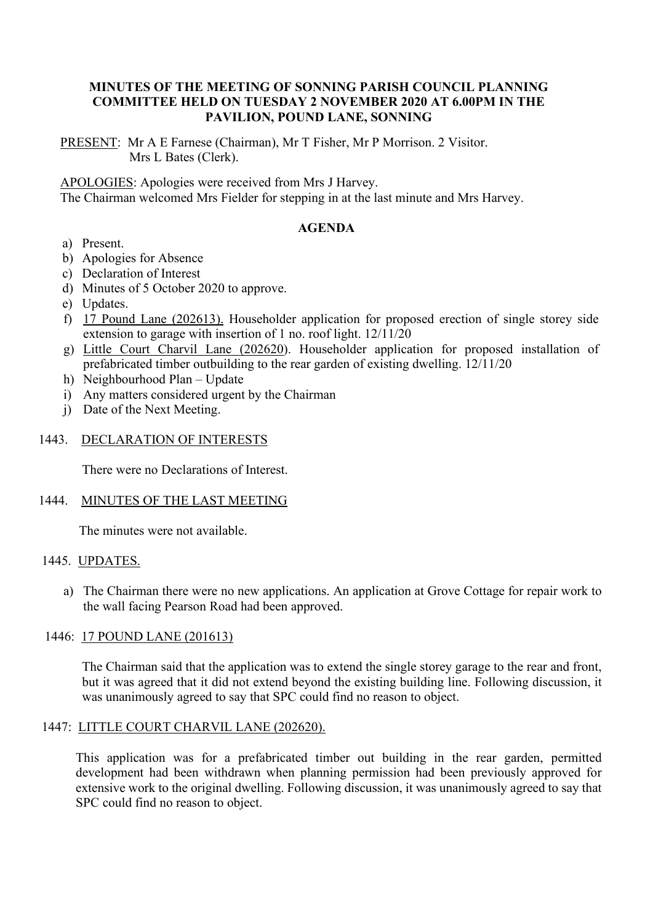## **MINUTES OF THE MEETING OF SONNING PARISH COUNCIL PLANNING COMMITTEE HELD ON TUESDAY 2 NOVEMBER 2020 AT 6.00PM IN THE PAVILION, POUND LANE, SONNING**

PRESENT: Mr A E Farnese (Chairman), Mr T Fisher, Mr P Morrison. 2 Visitor. Mrs L Bates (Clerk).

APOLOGIES: Apologies were received from Mrs J Harvey.

The Chairman welcomed Mrs Fielder for stepping in at the last minute and Mrs Harvey.

# **AGENDA**

- a) Present.
- b) Apologies for Absence
- c) Declaration of Interest
- d) Minutes of 5 October 2020 to approve.
- e) Updates.
- f) 17 Pound Lane (202613). Householder application for proposed erection of single storey side extension to garage with insertion of 1 no. roof light. 12/11/20
- g) Little Court Charvil Lane (202620). Householder application for proposed installation of prefabricated timber outbuilding to the rear garden of existing dwelling. 12/11/20
- h) Neighbourhood Plan Update
- i) Any matters considered urgent by the Chairman
- j) Date of the Next Meeting.

#### 1443. DECLARATION OF INTERESTS

There were no Declarations of Interest.

#### 1444. MINUTES OF THE LAST MEETING

The minutes were not available.

## 1445. UPDATES.

a) The Chairman there were no new applications. An application at Grove Cottage for repair work to the wall facing Pearson Road had been approved.

#### 1446: 17 POUND LANE (201613)

The Chairman said that the application was to extend the single storey garage to the rear and front, but it was agreed that it did not extend beyond the existing building line. Following discussion, it was unanimously agreed to say that SPC could find no reason to object.

### 1447: LITTLE COURT CHARVIL LANE (202620).

This application was for a prefabricated timber out building in the rear garden, permitted development had been withdrawn when planning permission had been previously approved for extensive work to the original dwelling. Following discussion, it was unanimously agreed to say that SPC could find no reason to object.